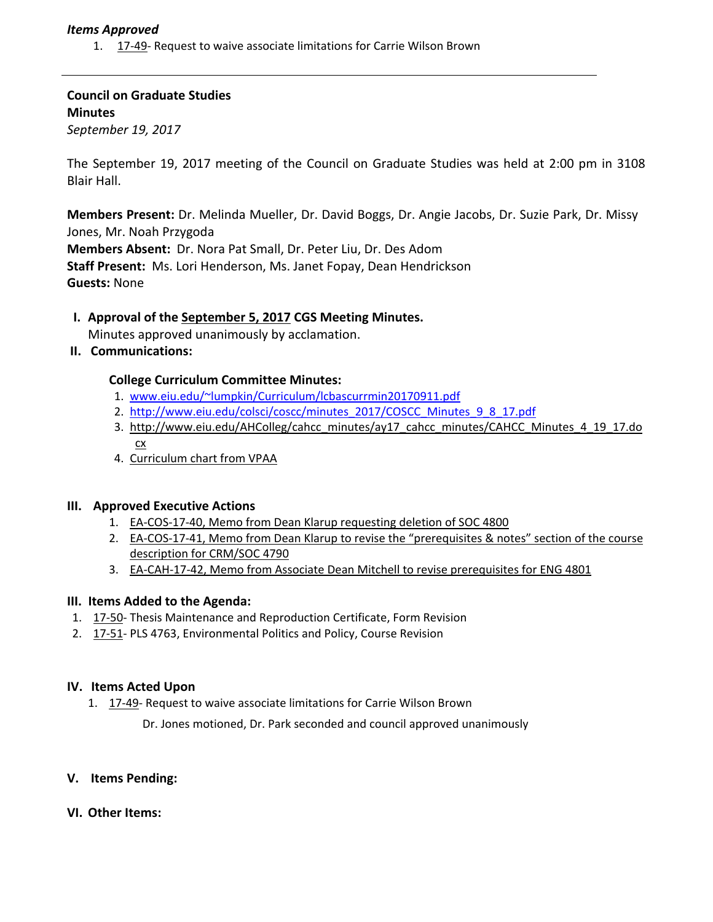## *Items Approved*

1. [17](http://castle.eiu.edu/eiucgs/currentagendaitems/agenda17-49.pdf)‐49‐ Request to waive associate limitations for Carrie Wilson Brown

**Council on Graduate Studies Minutes** *September 19, 2017*

The September 19, 2017 meeting of the Council on Graduate Studies was held at 2:00 pm in 3108 Blair Hall.

**Members Present:** Dr. Melinda Mueller, Dr. David Boggs, Dr. Angie Jacobs, Dr. Suzie Park, Dr. Missy Jones, Mr. Noah Przygoda **Members Absent:** Dr. Nora Pat Small, Dr. Peter Liu, Dr. Des Adom

**Staff Present:** Ms. Lori Henderson, Ms. Janet Fopay, Dean Hendrickson **Guests:** None

# **I. Approval of the [September](http://castle.eiu.edu/eiucgs/currentminutes/Minutes9-5-17.pdf) 5, 2017 CGS Meeting Minutes.**

Minutes approved unanimously by acclamation.

**II. Communications:**

## **College Curriculum Committee Minutes:**

- 1. [www.eiu.edu/~lumpkin/Curriculum/lcbascurrmin20170911.pdf](http://www.eiu.edu/~lumpkin/Curriculum/lcbascurrmin20170911.pdf)
- 2. [http://www.eiu.edu/colsci/coscc/minutes\\_2017/COSCC\\_Minutes\\_9\\_8\\_17.pdf](http://www.eiu.edu/colsci/coscc/minutes_2017/COSCC_Minutes_9_8_17.pdf)
- 3. [http://www.eiu.edu/AHColleg/cahcc\\_minutes/ay17\\_cahcc\\_minutes/CAHCC\\_Minutes\\_4\\_19\\_17.do](http://www.eiu.edu/AHColleg/cahcc_minutes/ay17_cahcc_minutes/CAHCC_Minutes_4_19_17.docx) cx
- 4. [Curriculum](http://castle.eiu.edu/acaffair/Curriculum/curricchrt2017.pdf) chart from VPAA

#### **III. Approved Executive Actions**

- 1. EA‐COS‐17‐40, Memo from Dean Klarup [requesting](http://castle.eiu.edu/eiucgs/exec-actions/EA-COS-17-40.pdf) deletion of SOC 4800
- 2. EA-COS-17-41, Memo from Dean Klarup to revise the ["prerequisites](http://castle.eiu.edu/eiucgs/exec-actions/EA-COS-17-41.pdf) & notes" section of the course description for CRM/SOC 4790
- 3. EA-CAH-17-42, Memo from Associate Dean Mitchell to revise [prerequisites](http://castle.eiu.edu/eiucgs/exec-actions/EA-CAH-17-42.pdf) for ENG 4801

#### **III. Items Added to the Agenda:**

- 1. [17](http://castle.eiu.edu/eiucgs/currentagendaitems/agenda17-50.pdf)‐50‐ Thesis Maintenance and Reproduction Certificate, Form Revision
- 2. [17](http://castle.eiu.edu/eiucgs/currentagendaitems/agenda17-51.pdf)‐51‐ PLS 4763, Environmental Politics and Policy, Course Revision

#### **IV. Items Acted Upon**

1. [17](http://castle.eiu.edu/eiucgs/currentagendaitems/agenda17-49.pdf)-49- Request to waive associate limitations for Carrie Wilson Brown

Dr. Jones motioned, Dr. Park seconded and council approved unanimously

**V. Items Pending:** 

#### **VI. Other Items:**